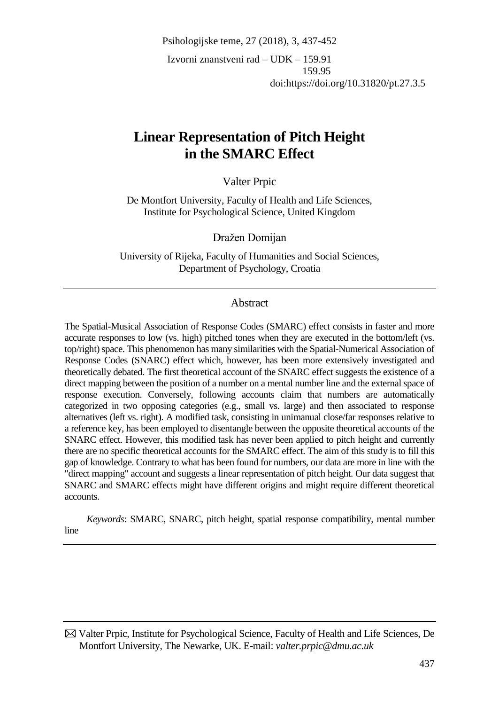Psihologijske teme, 27 (2018), 3, 437-452 Izvorni znanstveni rad – UDK – 159.91 159.95 doi:https://doi.org/10.31820/pt.27.3.5

# **Linear Representation of Pitch Height in the SMARC Effect**

Valter Prpic

De Montfort University, Faculty of Health and Life Sciences, Institute for Psychological Science, United Kingdom

Dražen Domijan

University of Rijeka, Faculty of Humanities and Social Sciences, Department of Psychology, Croatia

# Abstract

The Spatial-Musical Association of Response Codes (SMARC) effect consists in faster and more accurate responses to low (vs. high) pitched tones when they are executed in the bottom/left (vs. top/right) space. This phenomenon has many similarities with the Spatial-Numerical Association of Response Codes (SNARC) effect which, however, has been more extensively investigated and theoretically debated. The first theoretical account of the SNARC effect suggests the existence of a direct mapping between the position of a number on a mental number line and the external space of response execution. Conversely, following accounts claim that numbers are automatically categorized in two opposing categories (e.g., small vs. large) and then associated to response alternatives (left vs. right). A modified task, consisting in unimanual close/far responses relative to a reference key, has been employed to disentangle between the opposite theoretical accounts of the SNARC effect. However, this modified task has never been applied to pitch height and currently there are no specific theoretical accounts for the SMARC effect. The aim of this study is to fill this gap of knowledge. Contrary to what has been found for numbers, our data are more in line with the "direct mapping" account and suggests a linear representation of pitch height. Our data suggest that SNARC and SMARC effects might have different origins and might require different theoretical accounts.

*Keywords*: SMARC, SNARC, pitch height, spatial response compatibility, mental number line

 Valter Prpic, Institute for Psychological Science, Faculty of Health and Life Sciences, De Montfort University, The Newarke, UK. E-mail: *[valter.prpic@dmu.ac.uk](mailto:valter.prpic@dmu.ac.uk)*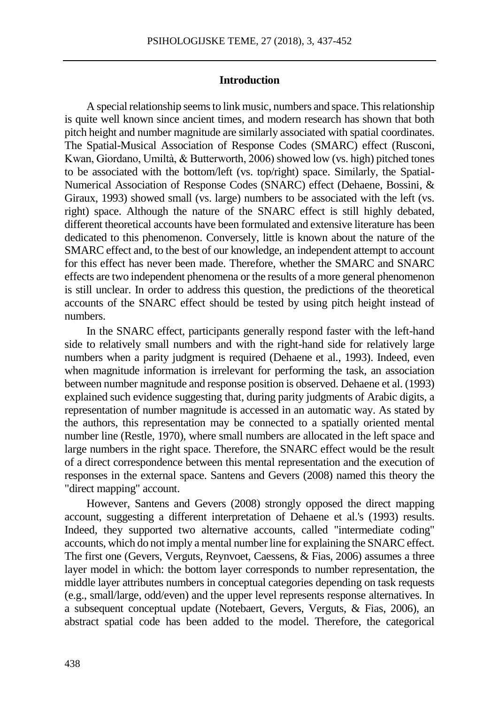## **Introduction**

A special relationship seems to link music, numbers and space. This relationship is quite well known since ancient times, and modern research has shown that both pitch height and number magnitude are similarly associated with spatial coordinates. The Spatial-Musical Association of Response Codes (SMARC) effect (Rusconi, Kwan, Giordano, Umiltà, & Butterworth, 2006) showed low (vs. high) pitched tones to be associated with the bottom/left (vs. top/right) space. Similarly, the Spatial-Numerical Association of Response Codes (SNARC) effect (Dehaene, Bossini, & Giraux, 1993) showed small (vs. large) numbers to be associated with the left (vs. right) space. Although the nature of the SNARC effect is still highly debated, different theoretical accounts have been formulated and extensive literature has been dedicated to this phenomenon. Conversely, little is known about the nature of the SMARC effect and, to the best of our knowledge, an independent attempt to account for this effect has never been made. Therefore, whether the SMARC and SNARC effects are two independent phenomena or the results of a more general phenomenon is still unclear. In order to address this question, the predictions of the theoretical accounts of the SNARC effect should be tested by using pitch height instead of numbers.

In the SNARC effect, participants generally respond faster with the left-hand side to relatively small numbers and with the right-hand side for relatively large numbers when a parity judgment is required (Dehaene et al., 1993). Indeed, even when magnitude information is irrelevant for performing the task, an association between number magnitude and response position is observed. Dehaene et al. (1993) explained such evidence suggesting that, during parity judgments of Arabic digits, a representation of number magnitude is accessed in an automatic way. As stated by the authors, this representation may be connected to a spatially oriented mental number line (Restle, 1970), where small numbers are allocated in the left space and large numbers in the right space. Therefore, the SNARC effect would be the result of a direct correspondence between this mental representation and the execution of responses in the external space. Santens and Gevers (2008) named this theory the "direct mapping" account.

However, Santens and Gevers (2008) strongly opposed the direct mapping account, suggesting a different interpretation of Dehaene et al.'s (1993) results. Indeed, they supported two alternative accounts, called "intermediate coding" accounts, which do not imply a mental number line for explaining the SNARC effect. The first one (Gevers, Verguts, Reynvoet, Caessens, & Fias, 2006) assumes a three layer model in which: the bottom layer corresponds to number representation, the middle layer attributes numbers in conceptual categories depending on task requests (e.g., small/large, odd/even) and the upper level represents response alternatives. In a subsequent conceptual update (Notebaert, Gevers, Verguts, & Fias, 2006), an abstract spatial code has been added to the model. Therefore, the categorical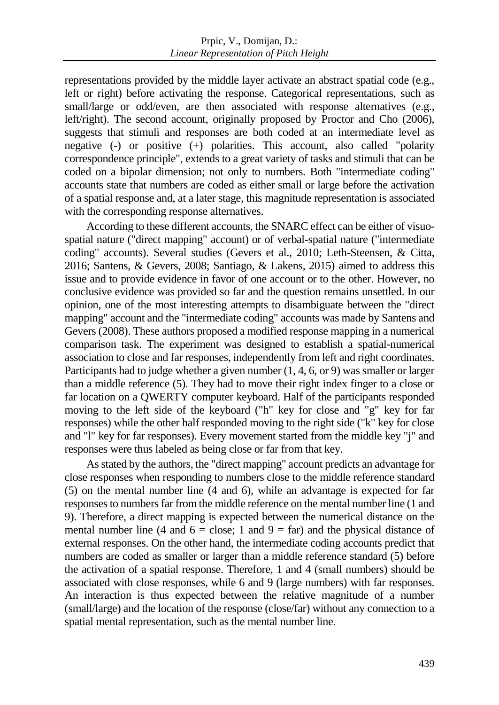representations provided by the middle layer activate an abstract spatial code (e.g., left or right) before activating the response. Categorical representations, such as small/large or odd/even, are then associated with response alternatives (e.g., left/right). The second account, originally proposed by Proctor and Cho (2006), suggests that stimuli and responses are both coded at an intermediate level as negative  $(-)$  or positive  $(+)$  polarities. This account, also called "polarity" correspondence principle", extends to a great variety of tasks and stimuli that can be coded on a bipolar dimension; not only to numbers. Both "intermediate coding" accounts state that numbers are coded as either small or large before the activation of a spatial response and, at a later stage, this magnitude representation is associated with the corresponding response alternatives.

According to these different accounts, the SNARC effect can be either of visuospatial nature ("direct mapping" account) or of verbal-spatial nature ("intermediate coding" accounts). Several studies (Gevers et al., 2010; Leth-Steensen, & Citta, 2016; Santens, & Gevers, 2008; Santiago, & Lakens, 2015) aimed to address this issue and to provide evidence in favor of one account or to the other. However, no conclusive evidence was provided so far and the question remains unsettled. In our opinion, one of the most interesting attempts to disambiguate between the "direct mapping" account and the "intermediate coding" accounts was made by Santens and Gevers (2008). These authors proposed a modified response mapping in a numerical comparison task. The experiment was designed to establish a spatial-numerical association to close and far responses, independently from left and right coordinates. Participants had to judge whether a given number (1, 4, 6, or 9) was smaller or larger than a middle reference (5). They had to move their right index finger to a close or far location on a QWERTY computer keyboard. Half of the participants responded moving to the left side of the keyboard ("h" key for close and "g" key for far responses) while the other half responded moving to the right side ("k" key for close and "l" key for far responses). Every movement started from the middle key "j" and responses were thus labeled as being close or far from that key.

As stated by the authors, the "direct mapping" account predicts an advantage for close responses when responding to numbers close to the middle reference standard (5) on the mental number line (4 and 6), while an advantage is expected for far responses to numbers far from the middle reference on the mental number line (1 and 9). Therefore, a direct mapping is expected between the numerical distance on the mental number line (4 and  $6 =$  close; 1 and  $9 =$  far) and the physical distance of external responses. On the other hand, the intermediate coding accounts predict that numbers are coded as smaller or larger than a middle reference standard (5) before the activation of a spatial response. Therefore, 1 and 4 (small numbers) should be associated with close responses, while 6 and 9 (large numbers) with far responses. An interaction is thus expected between the relative magnitude of a number (small/large) and the location of the response (close/far) without any connection to a spatial mental representation, such as the mental number line.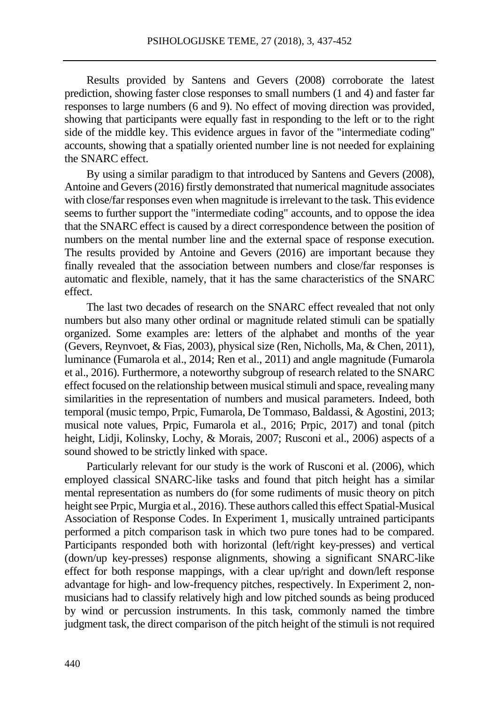Results provided by Santens and Gevers (2008) corroborate the latest prediction, showing faster close responses to small numbers (1 and 4) and faster far responses to large numbers (6 and 9). No effect of moving direction was provided, showing that participants were equally fast in responding to the left or to the right side of the middle key. This evidence argues in favor of the "intermediate coding" accounts, showing that a spatially oriented number line is not needed for explaining the SNARC effect.

By using a similar paradigm to that introduced by Santens and Gevers (2008), Antoine and Gevers (2016) firstly demonstrated that numerical magnitude associates with close/far responses even when magnitude is irrelevant to the task. This evidence seems to further support the "intermediate coding" accounts, and to oppose the idea that the SNARC effect is caused by a direct correspondence between the position of numbers on the mental number line and the external space of response execution. The results provided by Antoine and Gevers (2016) are important because they finally revealed that the association between numbers and close/far responses is automatic and flexible, namely, that it has the same characteristics of the SNARC effect.

The last two decades of research on the SNARC effect revealed that not only numbers but also many other ordinal or magnitude related stimuli can be spatially organized. Some examples are: letters of the alphabet and months of the year (Gevers, Reynvoet, & Fias, 2003), physical size (Ren, Nicholls, Ma, & Chen, 2011), luminance (Fumarola et al., 2014; Ren et al., 2011) and angle magnitude (Fumarola et al., 2016). Furthermore, a noteworthy subgroup of research related to the SNARC effect focused on the relationship between musical stimuli and space, revealing many similarities in the representation of numbers and musical parameters. Indeed, both temporal (music tempo, Prpic, Fumarola, De Tommaso, Baldassi, & Agostini, 2013; musical note values, Prpic, Fumarola et al., 2016; Prpic, 2017) and tonal (pitch height, Lidji, Kolinsky, Lochy, & Morais, 2007; Rusconi et al., 2006) aspects of a sound showed to be strictly linked with space.

Particularly relevant for our study is the work of Rusconi et al. (2006), which employed classical SNARC-like tasks and found that pitch height has a similar mental representation as numbers do (for some rudiments of music theory on pitch height see Prpic, Murgia et al., 2016). These authors called this effect Spatial-Musical Association of Response Codes. In Experiment 1, musically untrained participants performed a pitch comparison task in which two pure tones had to be compared. Participants responded both with horizontal (left/right key-presses) and vertical (down/up key-presses) response alignments, showing a significant SNARC-like effect for both response mappings, with a clear up/right and down/left response advantage for high- and low-frequency pitches, respectively. In Experiment 2, nonmusicians had to classify relatively high and low pitched sounds as being produced by wind or percussion instruments. In this task, commonly named the timbre judgment task, the direct comparison of the pitch height of the stimuli is not required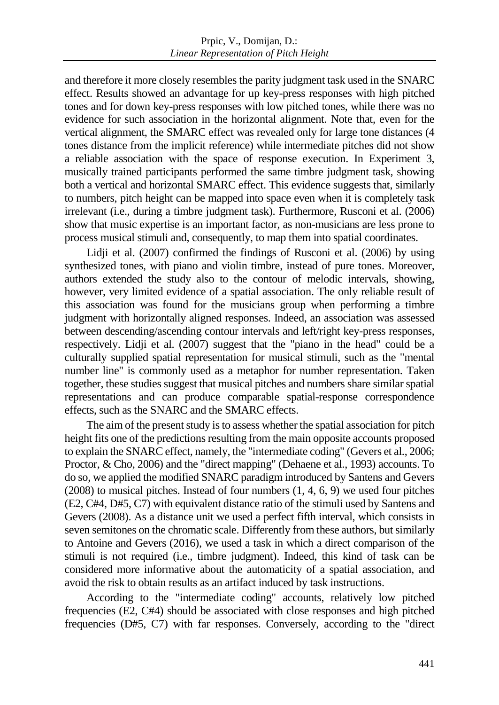and therefore it more closely resembles the parity judgment task used in the SNARC effect. Results showed an advantage for up key-press responses with high pitched tones and for down key-press responses with low pitched tones, while there was no evidence for such association in the horizontal alignment. Note that, even for the vertical alignment, the SMARC effect was revealed only for large tone distances (4 tones distance from the implicit reference) while intermediate pitches did not show a reliable association with the space of response execution. In Experiment 3, musically trained participants performed the same timbre judgment task, showing both a vertical and horizontal SMARC effect. This evidence suggests that, similarly to numbers, pitch height can be mapped into space even when it is completely task irrelevant (i.e., during a timbre judgment task). Furthermore, Rusconi et al. (2006) show that music expertise is an important factor, as non-musicians are less prone to process musical stimuli and, consequently, to map them into spatial coordinates.

Lidji et al. (2007) confirmed the findings of Rusconi et al. (2006) by using synthesized tones, with piano and violin timbre, instead of pure tones. Moreover, authors extended the study also to the contour of melodic intervals, showing, however, very limited evidence of a spatial association. The only reliable result of this association was found for the musicians group when performing a timbre judgment with horizontally aligned responses. Indeed, an association was assessed between descending/ascending contour intervals and left/right key-press responses, respectively. Lidji et al. (2007) suggest that the "piano in the head" could be a culturally supplied spatial representation for musical stimuli, such as the "mental number line" is commonly used as a metaphor for number representation. Taken together, these studies suggest that musical pitches and numbers share similar spatial representations and can produce comparable spatial-response correspondence effects, such as the SNARC and the SMARC effects.

The aim of the present study is to assess whether the spatial association for pitch height fits one of the predictions resulting from the main opposite accounts proposed to explain the SNARC effect, namely, the "intermediate coding" (Gevers et al., 2006; Proctor, & Cho, 2006) and the "direct mapping" (Dehaene et al., 1993) accounts. To do so, we applied the modified SNARC paradigm introduced by Santens and Gevers (2008) to musical pitches. Instead of four numbers (1, 4, 6, 9) we used four pitches (E2, C#4, D#5, C7) with equivalent distance ratio of the stimuli used by Santens and Gevers (2008). As a distance unit we used a perfect fifth interval, which consists in seven semitones on the chromatic scale. Differently from these authors, but similarly to Antoine and Gevers (2016), we used a task in which a direct comparison of the stimuli is not required (i.e., timbre judgment). Indeed, this kind of task can be considered more informative about the automaticity of a spatial association, and avoid the risk to obtain results as an artifact induced by task instructions.

According to the "intermediate coding" accounts, relatively low pitched frequencies (E2, C#4) should be associated with close responses and high pitched frequencies (D#5, C7) with far responses. Conversely, according to the "direct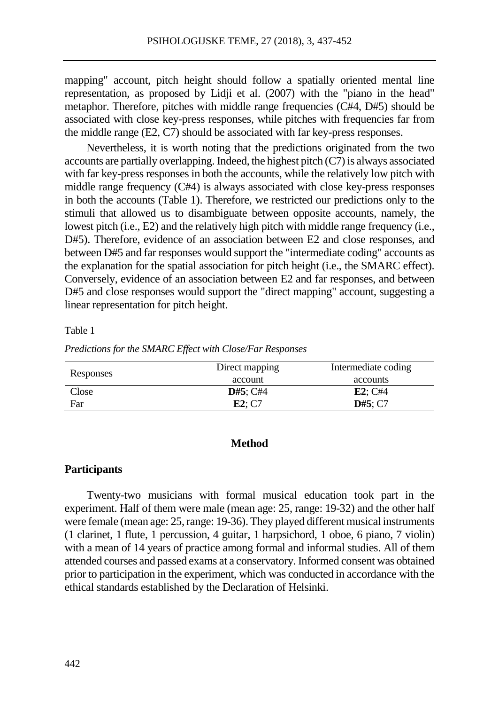mapping" account, pitch height should follow a spatially oriented mental line representation, as proposed by Lidji et al. (2007) with the "piano in the head" metaphor. Therefore, pitches with middle range frequencies (C#4, D#5) should be associated with close key-press responses, while pitches with frequencies far from the middle range (E2, C7) should be associated with far key-press responses.

Nevertheless, it is worth noting that the predictions originated from the two accounts are partially overlapping. Indeed, the highest pitch (C7) is always associated with far key-press responses in both the accounts, while the relatively low pitch with middle range frequency (C#4) is always associated with close key-press responses in both the accounts (Table 1). Therefore, we restricted our predictions only to the stimuli that allowed us to disambiguate between opposite accounts, namely, the lowest pitch (i.e., E2) and the relatively high pitch with middle range frequency (i.e., D#5). Therefore, evidence of an association between E2 and close responses, and between D#5 and far responses would support the "intermediate coding" accounts as the explanation for the spatial association for pitch height (i.e., the SMARC effect). Conversely, evidence of an association between E2 and far responses, and between D#5 and close responses would support the "direct mapping" account, suggesting a linear representation for pitch height.

# Table 1

| Responses | Direct mapping | Intermediate coding |
|-----------|----------------|---------------------|
|           | account        | accounts            |
| Close     | D#5: C#4       | $E2:$ C#4           |
| Far       | E2: C7         | D#5: C7             |

*Predictions for the SMARC Effect with Close/Far Responses*

# **Method**

# **Participants**

Twenty-two musicians with formal musical education took part in the experiment. Half of them were male (mean age: 25, range: 19-32) and the other half were female (mean age: 25, range: 19-36). They played different musical instruments (1 clarinet, 1 flute, 1 percussion, 4 guitar, 1 harpsichord, 1 oboe, 6 piano, 7 violin) with a mean of 14 years of practice among formal and informal studies. All of them attended courses and passed exams at a conservatory. Informed consent was obtained prior to participation in the experiment, which was conducted in accordance with the ethical standards established by the Declaration of Helsinki.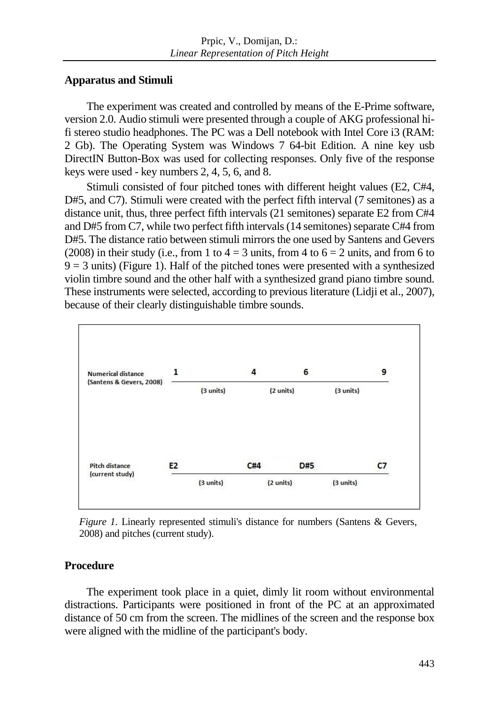# **Apparatus and Stimuli**

The experiment was created and controlled by means of the E-Prime software, version 2.0. Audio stimuli were presented through a couple of AKG professional hifi stereo studio headphones. The PC was a Dell notebook with Intel Core i3 (RAM: 2 Gb). The Operating System was Windows 7 64-bit Edition. A nine key usb DirectIN Button-Box was used for collecting responses. Only five of the response keys were used - key numbers 2, 4, 5, 6, and 8.

Stimuli consisted of four pitched tones with different height values (E2, C#4, D#5, and C7). Stimuli were created with the perfect fifth interval (7 semitones) as a distance unit, thus, three perfect fifth intervals (21 semitones) separate E2 from C#4 and D#5 from C7, while two perfect fifth intervals(14 semitones) separate C#4 from D#5. The distance ratio between stimuli mirrors the one used by Santens and Gevers (2008) in their study (i.e., from 1 to  $4 = 3$  units, from 4 to  $6 = 2$  units, and from 6 to  $9 = 3$  units) (Figure 1). Half of the pitched tones were presented with a synthesized violin timbre sound and the other half with a synthesized grand piano timbre sound. These instruments were selected, according to previous literature (Lidji et al., 2007), because of their clearly distinguishable timbre sounds.



*Figure 1.* Linearly represented stimuli's distance for numbers (Santens & Gevers, 2008) and pitches (current study).

# **Procedure**

The experiment took place in a quiet, dimly lit room without environmental distractions. Participants were positioned in front of the PC at an approximated distance of 50 cm from the screen. The midlines of the screen and the response box were aligned with the midline of the participant's body.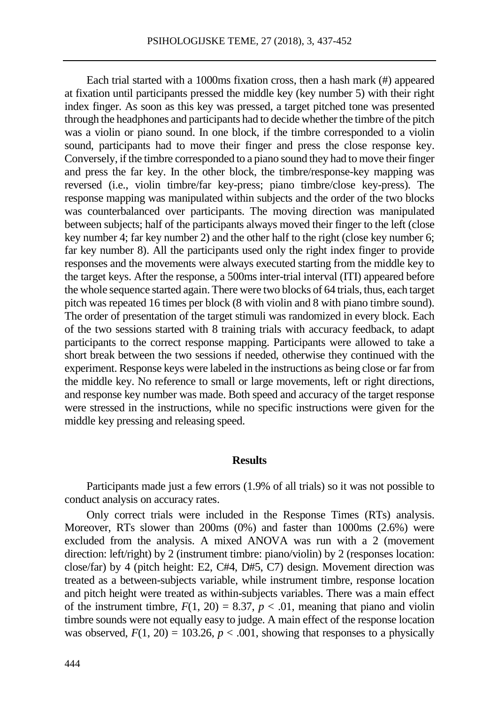Each trial started with a 1000ms fixation cross, then a hash mark (#) appeared at fixation until participants pressed the middle key (key number 5) with their right index finger. As soon as this key was pressed, a target pitched tone was presented through the headphones and participants had to decide whether the timbre of the pitch was a violin or piano sound. In one block, if the timbre corresponded to a violin sound, participants had to move their finger and press the close response key. Conversely, if the timbre corresponded to a piano sound they had to move their finger and press the far key. In the other block, the timbre/response-key mapping was reversed (i.e., violin timbre/far key-press; piano timbre/close key-press). The response mapping was manipulated within subjects and the order of the two blocks was counterbalanced over participants. The moving direction was manipulated between subjects; half of the participants always moved their finger to the left (close key number 4; far key number 2) and the other half to the right (close key number 6; far key number 8). All the participants used only the right index finger to provide responses and the movements were always executed starting from the middle key to the target keys. After the response, a 500ms inter-trial interval (ITI) appeared before the whole sequence started again. There were two blocks of 64 trials, thus, each target pitch was repeated 16 times per block (8 with violin and 8 with piano timbre sound). The order of presentation of the target stimuli was randomized in every block. Each of the two sessions started with 8 training trials with accuracy feedback, to adapt participants to the correct response mapping. Participants were allowed to take a short break between the two sessions if needed, otherwise they continued with the experiment. Response keys were labeled in the instructions as being close or far from the middle key. No reference to small or large movements, left or right directions, and response key number was made. Both speed and accuracy of the target response were stressed in the instructions, while no specific instructions were given for the middle key pressing and releasing speed.

#### **Results**

Participants made just a few errors (1.9% of all trials) so it was not possible to conduct analysis on accuracy rates.

Only correct trials were included in the Response Times (RTs) analysis. Moreover, RTs slower than 200ms (0%) and faster than 1000ms (2.6%) were excluded from the analysis. A mixed ANOVA was run with a 2 (movement direction: left/right) by 2 (instrument timbre: piano/violin) by 2 (responses location: close/far) by 4 (pitch height: E2, C#4, D#5, C7) design. Movement direction was treated as a between-subjects variable, while instrument timbre, response location and pitch height were treated as within-subjects variables. There was a main effect of the instrument timbre,  $F(1, 20) = 8.37$ ,  $p < .01$ , meaning that piano and violin timbre sounds were not equally easy to judge. A main effect of the response location was observed,  $F(1, 20) = 103.26$ ,  $p < .001$ , showing that responses to a physically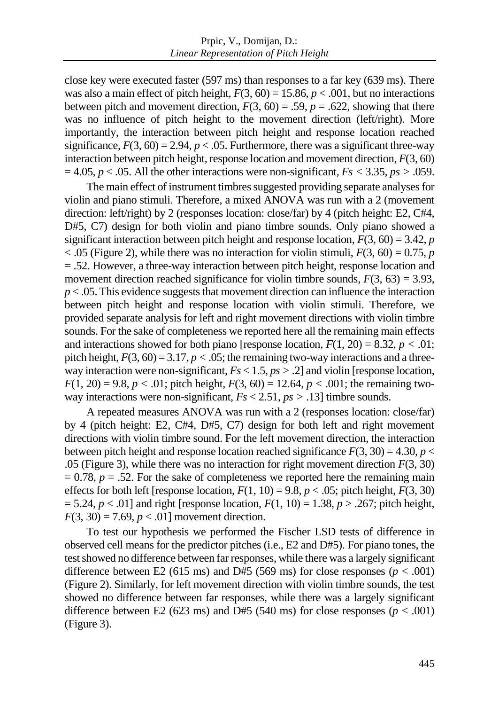close key were executed faster (597 ms) than responses to a far key (639 ms). There was also a main effect of pitch height,  $F(3, 60) = 15.86$ ,  $p < .001$ , but no interactions between pitch and movement direction,  $F(3, 60) = .59$ ,  $p = .622$ , showing that there was no influence of pitch height to the movement direction (left/right). More importantly, the interaction between pitch height and response location reached significance,  $F(3, 60) = 2.94$ ,  $p < .05$ . Furthermore, there was a significant three-way interaction between pitch height, response location and movement direction, *F*(3, 60)  $= 4.05, p < .05$ . All the other interactions were non-significant,  $Fs < 3.35, ps > .059$ .

The main effect of instrument timbres suggested providing separate analyses for violin and piano stimuli. Therefore, a mixed ANOVA was run with a 2 (movement direction: left/right) by 2 (responses location: close/far) by 4 (pitch height: E2, C#4, D#5, C7) design for both violin and piano timbre sounds. Only piano showed a significant interaction between pitch height and response location,  $F(3, 60) = 3.42$ , *p*  $<$  0.05 (Figure 2), while there was no interaction for violin stimuli,  $F(3, 60) = 0.75$ , *p* = .52. However, a three-way interaction between pitch height, response location and movement direction reached significance for violin timbre sounds,  $F(3, 63) = 3.93$ , *p* < .05. This evidence suggests that movement direction can influence the interaction between pitch height and response location with violin stimuli. Therefore, we provided separate analysis for left and right movement directions with violin timbre sounds. For the sake of completeness we reported here all the remaining main effects and interactions showed for both piano [response location,  $F(1, 20) = 8.32$ ,  $p < .01$ ; pitch height,  $F(3, 60) = 3.17$ ,  $p < .05$ ; the remaining two-way interactions and a threeway interaction were non-significant, *Fs* < 1.5, *ps >* .2] and violin [response location,  $F(1, 20) = 9.8$ ,  $p < .01$ ; pitch height,  $F(3, 60) = 12.64$ ,  $p < .001$ ; the remaining twoway interactions were non-significant,  $Fs < 2.51$ ,  $ps > .13$  limbre sounds.

A repeated measures ANOVA was run with a 2 (responses location: close/far) by 4 (pitch height: E2, C#4, D#5, C7) design for both left and right movement directions with violin timbre sound. For the left movement direction, the interaction between pitch height and response location reached significance  $F(3, 30) = 4.30$ ,  $p <$ .05 (Figure 3), while there was no interaction for right movement direction *F*(3, 30)  $= 0.78$ ,  $p = .52$ . For the sake of completeness we reported here the remaining main effects for both left [response location,  $F(1, 10) = 9.8$ ,  $p < .05$ ; pitch height,  $F(3, 30)$ = 5.24, *p* < .01] and right [response location, *F*(1, 10) = 1.38, *p* > .267; pitch height,  $F(3, 30) = 7.69$ ,  $p < .01$ ] movement direction.

To test our hypothesis we performed the Fischer LSD tests of difference in observed cell means for the predictor pitches (i.e., E2 and D#5). For piano tones, the test showed no difference between far responses, while there was a largely significant difference between E2 (615 ms) and D#5 (569 ms) for close responses ( $p < .001$ ) (Figure 2). Similarly, for left movement direction with violin timbre sounds, the test showed no difference between far responses, while there was a largely significant difference between E2 (623 ms) and D#5 (540 ms) for close responses ( $p < .001$ ) (Figure 3).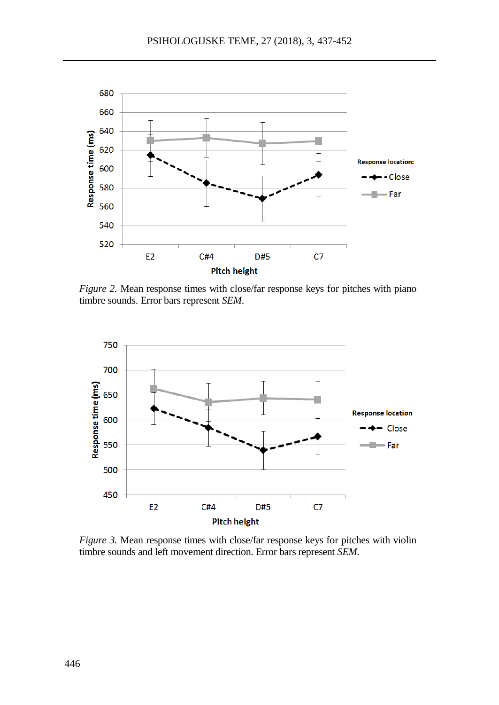

*Figure 2.* Mean response times with close/far response keys for pitches with piano timbre sounds. Error bars represent *SEM*.



*Figure 3.* Mean response times with close/far response keys for pitches with violin timbre sounds and left movement direction. Error bars represent *SEM*.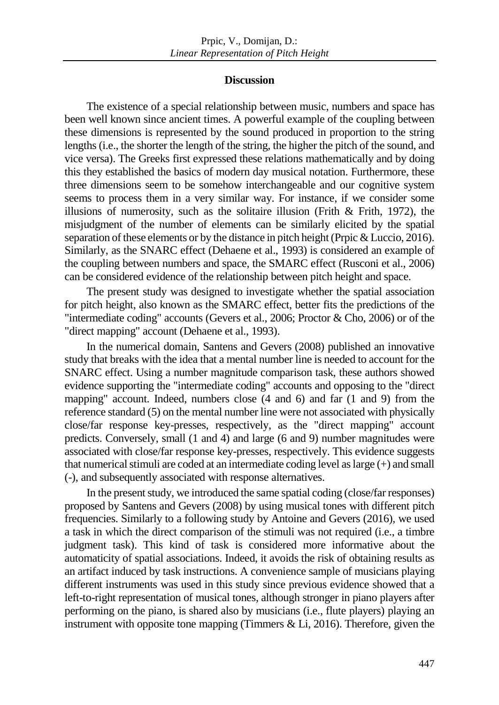### **Discussion**

The existence of a special relationship between music, numbers and space has been well known since ancient times. A powerful example of the coupling between these dimensions is represented by the sound produced in proportion to the string lengths (i.e., the shorter the length of the string, the higher the pitch of the sound, and vice versa). The Greeks first expressed these relations mathematically and by doing this they established the basics of modern day musical notation. Furthermore, these three dimensions seem to be somehow interchangeable and our cognitive system seems to process them in a very similar way. For instance, if we consider some illusions of numerosity, such as the solitaire illusion (Frith & Frith, 1972), the misjudgment of the number of elements can be similarly elicited by the spatial separation of these elements or by the distance in pitch height (Prpic & Luccio, 2016). Similarly, as the SNARC effect (Dehaene et al., 1993) is considered an example of the coupling between numbers and space, the SMARC effect (Rusconi et al., 2006) can be considered evidence of the relationship between pitch height and space.

The present study was designed to investigate whether the spatial association for pitch height, also known as the SMARC effect, better fits the predictions of the "intermediate coding" accounts (Gevers et al., 2006; Proctor & Cho, 2006) or of the "direct mapping" account (Dehaene et al., 1993).

In the numerical domain, Santens and Gevers (2008) published an innovative study that breaks with the idea that a mental number line is needed to account for the SNARC effect. Using a number magnitude comparison task, these authors showed evidence supporting the "intermediate coding" accounts and opposing to the "direct mapping" account. Indeed, numbers close (4 and 6) and far (1 and 9) from the reference standard (5) on the mental number line were not associated with physically close/far response key-presses, respectively, as the "direct mapping" account predicts. Conversely, small (1 and 4) and large (6 and 9) number magnitudes were associated with close/far response key-presses, respectively. This evidence suggests that numerical stimuli are coded at an intermediate coding level as large (+) and small (-), and subsequently associated with response alternatives.

In the present study, we introduced the same spatial coding (close/far responses) proposed by Santens and Gevers (2008) by using musical tones with different pitch frequencies. Similarly to a following study by Antoine and Gevers (2016), we used a task in which the direct comparison of the stimuli was not required (i.e., a timbre judgment task). This kind of task is considered more informative about the automaticity of spatial associations. Indeed, it avoids the risk of obtaining results as an artifact induced by task instructions. A convenience sample of musicians playing different instruments was used in this study since previous evidence showed that a left-to-right representation of musical tones, although stronger in piano players after performing on the piano, is shared also by musicians (i.e., flute players) playing an instrument with opposite tone mapping (Timmers  $& Li$ , 2016). Therefore, given the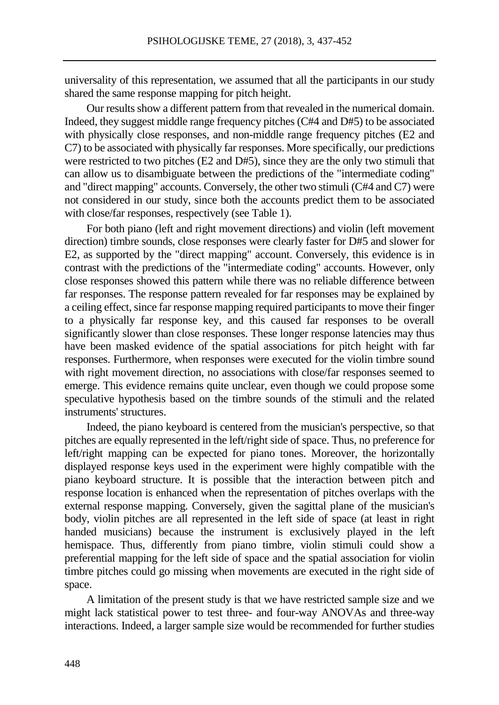universality of this representation, we assumed that all the participants in our study shared the same response mapping for pitch height.

Our results show a different pattern from that revealed in the numerical domain. Indeed, they suggest middle range frequency pitches (C#4 and D#5) to be associated with physically close responses, and non-middle range frequency pitches (E2 and C7) to be associated with physically far responses. More specifically, our predictions were restricted to two pitches (E2 and D#5), since they are the only two stimuli that can allow us to disambiguate between the predictions of the "intermediate coding" and "direct mapping" accounts. Conversely, the other two stimuli (C#4 and C7) were not considered in our study, since both the accounts predict them to be associated with close/far responses, respectively (see Table 1).

For both piano (left and right movement directions) and violin (left movement direction) timbre sounds, close responses were clearly faster for D#5 and slower for E2, as supported by the "direct mapping" account. Conversely, this evidence is in contrast with the predictions of the "intermediate coding" accounts. However, only close responses showed this pattern while there was no reliable difference between far responses. The response pattern revealed for far responses may be explained by a ceiling effect, since far response mapping required participants to move their finger to a physically far response key, and this caused far responses to be overall significantly slower than close responses. These longer response latencies may thus have been masked evidence of the spatial associations for pitch height with far responses. Furthermore, when responses were executed for the violin timbre sound with right movement direction, no associations with close/far responses seemed to emerge. This evidence remains quite unclear, even though we could propose some speculative hypothesis based on the timbre sounds of the stimuli and the related instruments' structures.

Indeed, the piano keyboard is centered from the musician's perspective, so that pitches are equally represented in the left/right side of space. Thus, no preference for left/right mapping can be expected for piano tones. Moreover, the horizontally displayed response keys used in the experiment were highly compatible with the piano keyboard structure. It is possible that the interaction between pitch and response location is enhanced when the representation of pitches overlaps with the external response mapping. Conversely, given the sagittal plane of the musician's body, violin pitches are all represented in the left side of space (at least in right handed musicians) because the instrument is exclusively played in the left hemispace. Thus, differently from piano timbre, violin stimuli could show a preferential mapping for the left side of space and the spatial association for violin timbre pitches could go missing when movements are executed in the right side of space.

A limitation of the present study is that we have restricted sample size and we might lack statistical power to test three- and four-way ANOVAs and three-way interactions. Indeed, a larger sample size would be recommended for further studies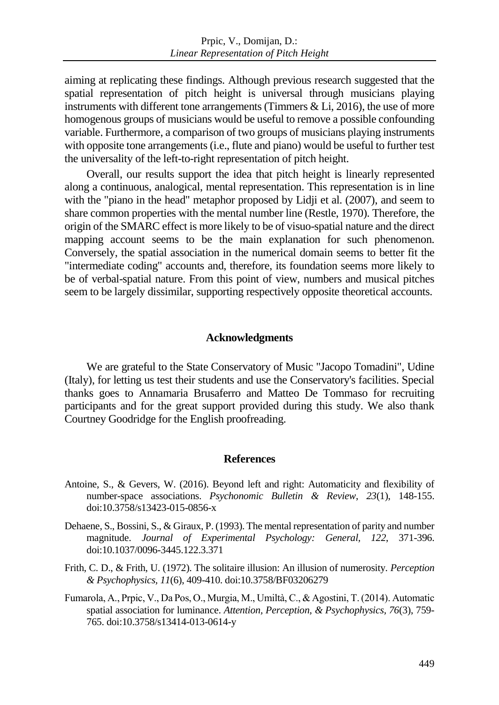aiming at replicating these findings. Although previous research suggested that the spatial representation of pitch height is universal through musicians playing instruments with different tone arrangements (Timmers & Li, 2016), the use of more homogenous groups of musicians would be useful to remove a possible confounding variable. Furthermore, a comparison of two groups of musicians playing instruments with opposite tone arrangements (i.e., flute and piano) would be useful to further test the universality of the left-to-right representation of pitch height.

Overall, our results support the idea that pitch height is linearly represented along a continuous, analogical, mental representation. This representation is in line with the "piano in the head" metaphor proposed by Lidji et al. (2007), and seem to share common properties with the mental number line (Restle, 1970). Therefore, the origin of the SMARC effect is more likely to be of visuo-spatial nature and the direct mapping account seems to be the main explanation for such phenomenon. Conversely, the spatial association in the numerical domain seems to better fit the "intermediate coding" accounts and, therefore, its foundation seems more likely to be of verbal-spatial nature. From this point of view, numbers and musical pitches seem to be largely dissimilar, supporting respectively opposite theoretical accounts.

# **Acknowledgments**

We are grateful to the State Conservatory of Music "Jacopo Tomadini", Udine (Italy), for letting us test their students and use the Conservatory's facilities. Special thanks goes to Annamaria Brusaferro and Matteo De Tommaso for recruiting participants and for the great support provided during this study. We also thank Courtney Goodridge for the English proofreading.

### **References**

- Antoine, S., & Gevers, W. (2016). Beyond left and right: Automaticity and flexibility of number-space associations. *Psychonomic Bulletin & Review*, *23*(1), 148-155. doi:10.3758/s13423-015-0856-x
- Dehaene, S., Bossini, S., & Giraux, P. (1993). The mental representation of parity and number magnitude. *Journal of Experimental Psychology: General, 122*, 371-396. doi:10.1037/0096-3445.122.3.371
- Frith, C. D., & Frith, U. (1972). The solitaire illusion: An illusion of numerosity. *Perception & Psychophysics, 11*(6), 409-410. doi:10.3758/BF03206279
- Fumarola, A., Prpic, V., Da Pos, O., Murgia, M., Umiltà, C., & Agostini, T. (2014). Automatic spatial association for luminance. *Attention, Perception, & Psychophysics, 76*(3), 759- 765. doi:10.3758/s13414-013-0614-y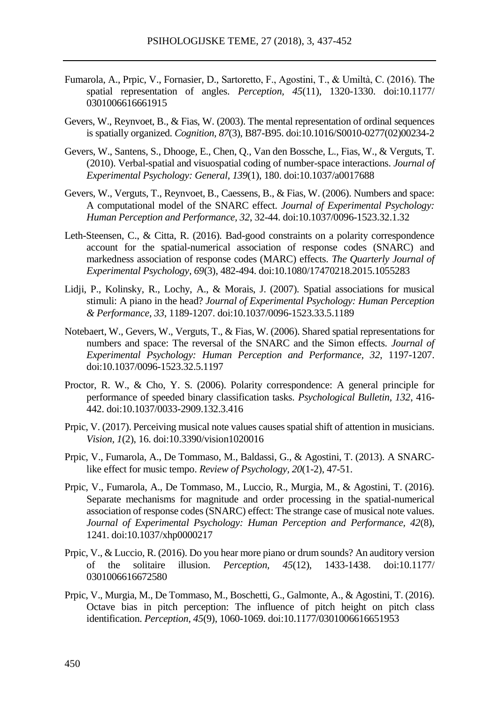- Fumarola, A., Prpic, V., Fornasier, D., Sartoretto, F., Agostini, T., & Umiltà, C. (2016). The spatial representation of angles. *Perception, 45*(11), 1320-1330. doi:10.1177/ 0301006616661915
- Gevers, W., Reynvoet, B., & Fias, W. (2003). The mental representation of ordinal sequences is spatially organized. *Cognition, 87*(3), B87-B95. doi:10.1016/S0010-0277(02)00234-2
- Gevers, W., Santens, S., Dhooge, E., Chen, Q., Van den Bossche, L., Fias, W., & Verguts, T. (2010). Verbal-spatial and visuospatial coding of number-space interactions. *Journal of Experimental Psychology: General, 139*(1), 180. doi:10.1037/a0017688
- Gevers, W., Verguts, T., Reynvoet, B., Caessens, B., & Fias, W. (2006). Numbers and space: A computational model of the SNARC effect. *Journal of Experimental Psychology: Human Perception and Performance, 32*, 32-44. doi:10.1037/0096-1523.32.1.32
- Leth-Steensen, C., & Citta, R. (2016). Bad-good constraints on a polarity correspondence account for the spatial-numerical association of response codes (SNARC) and markedness association of response codes (MARC) effects. *The Quarterly Journal of Experimental Psychology*, *69*(3), 482-494. doi:10.1080/17470218.2015.1055283
- Lidji, P., Kolinsky, R., Lochy, A., & Morais, J. (2007). Spatial associations for musical stimuli: A piano in the head? *Journal of Experimental Psychology: Human Perception & Performance, 33*, 1189-1207. doi:10.1037/0096-1523.33.5.1189
- Notebaert, W., Gevers, W., Verguts, T., & Fias, W. (2006). Shared spatial representations for numbers and space: The reversal of the SNARC and the Simon effects. *Journal of Experimental Psychology: Human Perception and Performance, 32*, 1197-1207. doi:10.1037/0096-1523.32.5.1197
- Proctor, R. W., & Cho, Y. S. (2006). Polarity correspondence: A general principle for performance of speeded binary classification tasks. *Psychological Bulletin, 132*, 416- 442. doi:10.1037/0033-2909.132.3.416
- Prpic, V. (2017). Perceiving musical note values causes spatial shift of attention in musicians. *Vision, 1*(2), 16. doi:10.3390/vision1020016
- Prpic, V., Fumarola, A., De Tommaso, M., Baldassi, G., & Agostini, T. (2013). A SNARClike effect for music tempo. *Review of Psychology, 20*(1-2), 47-51.
- Prpic, V., Fumarola, A., De Tommaso, M., Luccio, R., Murgia, M., & Agostini, T. (2016). Separate mechanisms for magnitude and order processing in the spatial-numerical association of response codes (SNARC) effect: The strange case of musical note values. *Journal of Experimental Psychology: Human Perception and Performance, 42*(8), 1241. doi:10.1037/xhp0000217
- Prpic, V., & Luccio, R. (2016). Do you hear more piano or drum sounds? An auditory version of the solitaire illusion. *Perception, 45*(12), 1433-1438. doi:10.1177/ 0301006616672580
- Prpic, V., Murgia, M., De Tommaso, M., Boschetti, G., Galmonte, A., & Agostini, T. (2016). Octave bias in pitch perception: The influence of pitch height on pitch class identification. *Perception, 45*(9), 1060-1069. doi:10.1177/0301006616651953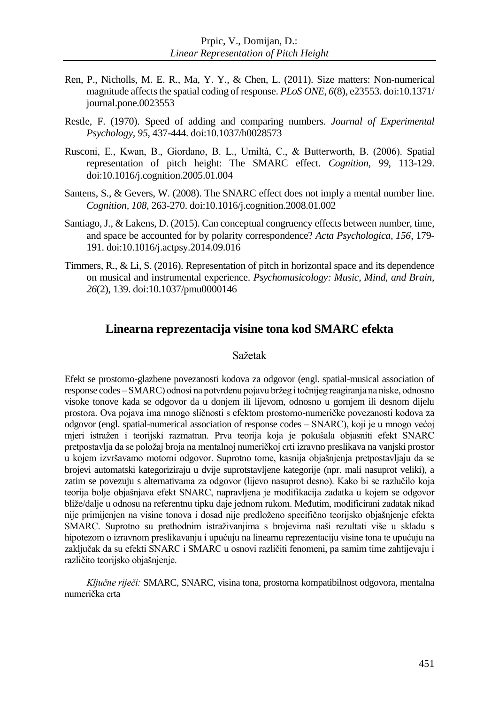- Ren, P., Nicholls, M. E. R., Ma, Y. Y., & Chen, L. (2011). Size matters: Non-numerical magnitude affects the spatial coding of response. *PLoS ONE, 6*(8), e23553. doi:10.1371/ journal.pone.0023553
- Restle, F. (1970). Speed of adding and comparing numbers. *Journal of Experimental Psychology, 95*, 437-444. doi:10.1037/h0028573
- Rusconi, E., Kwan, B., Giordano, B. L., Umiltà, C., & Butterworth, B. (2006). Spatial representation of pitch height: The SMARC effect. *Cognition, 99*, 113-129. doi:10.1016/j.cognition.2005.01.004
- Santens, S., & Gevers, W. (2008). The SNARC effect does not imply a mental number line. *Cognition, 108*, 263-270. doi:10.1016/j.cognition.2008.01.002
- Santiago, J., & Lakens, D. (2015). Can conceptual congruency effects between number, time, and space be accounted for by polarity correspondence? *Acta Psychologica, 156*, 179- 191. doi:10.1016/j.actpsy.2014.09.016
- Timmers, R., & Li, S. (2016). Representation of pitch in horizontal space and its dependence on musical and instrumental experience. *Psychomusicology: Music, Mind, and Brain, 26*(2), 139. doi:10.1037/pmu0000146

# **Linearna reprezentacija visine tona kod SMARC efekta**

# Sažetak

Efekt se prostorno-glazbene povezanosti kodova za odgovor (engl. spatial-musical association of response codes – SMARC) odnosi na potvrđenu pojavu bržeg i točnijeg reagiranja na niske, odnosno visoke tonove kada se odgovor da u donjem ili lijevom, odnosno u gornjem ili desnom dijelu prostora. Ova pojava ima mnogo sličnosti s efektom prostorno-numeričke povezanosti kodova za odgovor (engl. spatial-numerical association of response codes – SNARC), koji je u mnogo većoj mjeri istražen i teorijski razmatran. Prva teorija koja je pokušala objasniti efekt SNARC pretpostavlja da se položaj broja na mentalnoj numeričkoj crti izravno preslikava na vanjski prostor u kojem izvršavamo motorni odgovor. Suprotno tome, kasnija objašnjenja pretpostavljaju da se brojevi automatski kategoriziraju u dvije suprotstavljene kategorije (npr. mali nasuprot veliki), a zatim se povezuju s alternativama za odgovor (lijevo nasuprot desno). Kako bi se razlučilo koja teorija bolje objašnjava efekt SNARC, napravljena je modifikacija zadatka u kojem se odgovor bliže/dalje u odnosu na referentnu tipku daje jednom rukom. Međutim, modificirani zadatak nikad nije primijenjen na visine tonova i dosad nije predloženo specifično teorijsko objašnjenje efekta SMARC. Suprotno su prethodnim istraživanjima s brojevima naši rezultati više u skladu s hipotezom o izravnom preslikavanju i upućuju na linearnu reprezentaciju visine tona te upućuju na zaključak da su efekti SNARC i SMARC u osnovi različiti fenomeni, pa samim time zahtijevaju i različito teorijsko objašnjenje.

*Ključne riječi:* SMARC, SNARC, visina tona, prostorna kompatibilnost odgovora, mentalna numerička crta